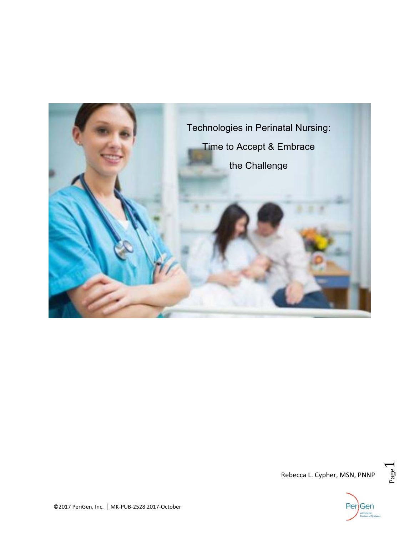





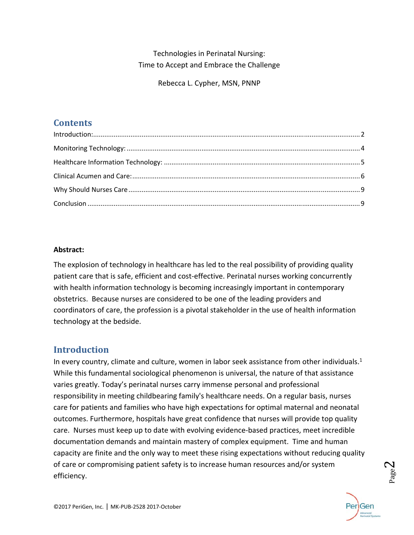Technologies in Perinatal Nursing: Time to Accept and Embrace the Challenge

Rebecca L. Cypher, MSN, PNNP

## **Contents**

### **Abstract:**

The explosion of technology in healthcare has led to the real possibility of providing quality patient care that is safe, efficient and cost-effective. Perinatal nurses working concurrently with health information technology is becoming increasingly important in contemporary obstetrics. Because nurses are considered to be one of the leading providers and coordinators of care, the profession is a pivotal stakeholder in the use of health information technology at the bedside.

## **Introduction**

In every country, climate and culture, women in labor seek assistance from other individuals. $1$ While this fundamental sociological phenomenon is universal, the nature of that assistance varies greatly. Today's perinatal nurses carry immense personal and professional responsibility in meeting childbearing family's healthcare needs. On a regular basis, nurses care for patients and families who have high expectations for optimal maternal and neonatal outcomes. Furthermore, hospitals have great confidence that nurses will provide top quality care. Nurses must keep up to date with evolving evidence‐based practices, meet incredible documentation demands and maintain mastery of complex equipment. Time and human capacity are finite and the only way to meet these rising expectations without reducing quality of care or compromising patient safety is to increase human resources and/or system efficiency.



Page2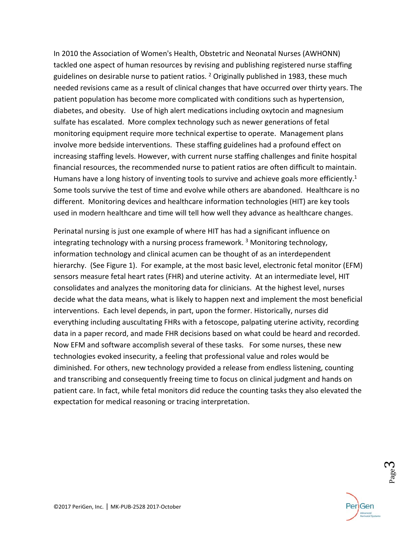In 2010 the Association of Women's Health, Obstetric and Neonatal Nurses (AWHONN) tackled one aspect of human resources by revising and publishing registered nurse staffing guidelines on desirable nurse to patient ratios.  $2$  Originally published in 1983, these much needed revisions came as a result of clinical changes that have occurred over thirty years. The patient population has become more complicated with conditions such as hypertension, diabetes, and obesity. Use of high alert medications including oxytocin and magnesium sulfate has escalated. More complex technology such as newer generations of fetal monitoring equipment require more technical expertise to operate. Management plans involve more bedside interventions. These staffing guidelines had a profound effect on increasing staffing levels. However, with current nurse staffing challenges and finite hospital financial resources, the recommended nurse to patient ratios are often difficult to maintain. Humans have a long history of inventing tools to survive and achieve goals more efficiently.<sup>1</sup> Some tools survive the test of time and evolve while others are abandoned. Healthcare is no different. Monitoring devices and healthcare information technologies (HIT) are key tools used in modern healthcare and time will tell how well they advance as healthcare changes.

Perinatal nursing is just one example of where HIT has had a significant influence on integrating technology with a nursing process framework.<sup>3</sup> Monitoring technology, information technology and clinical acumen can be thought of as an interdependent hierarchy. (See Figure 1). For example, at the most basic level, electronic fetal monitor (EFM) sensors measure fetal heart rates (FHR) and uterine activity. At an intermediate level, HIT consolidates and analyzes the monitoring data for clinicians. At the highest level, nurses decide what the data means, what is likely to happen next and implement the most beneficial interventions. Each level depends, in part, upon the former. Historically, nurses did everything including auscultating FHRs with a fetoscope, palpating uterine activity, recording data in a paper record, and made FHR decisions based on what could be heard and recorded. Now EFM and software accomplish several of these tasks. For some nurses, these new technologies evoked insecurity, a feeling that professional value and roles would be diminished. For others, new technology provided a release from endless listening, counting and transcribing and consequently freeing time to focus on clinical judgment and hands on patient care. In fact, while fetal monitors did reduce the counting tasks they also elevated the expectation for medical reasoning or tracing interpretation.



p<sub>age</sub>3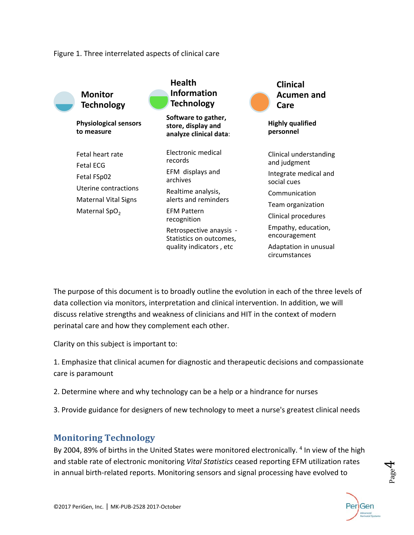#### Figure 1. Three interrelated aspects of clinical care



The purpose of this document is to broadly outline the evolution in each of the three levels of data collection via monitors, interpretation and clinical intervention. In addition, we will discuss relative strengths and weakness of clinicians and HIT in the context of modern perinatal care and how they complement each other.

Clarity on this subject is important to:

1. Emphasize that clinical acumen for diagnostic and therapeutic decisions and compassionate care is paramount

- 2. Determine where and why technology can be a help or a hindrance for nurses
- 3. Provide guidance for designers of new technology to meet a nurse's greatest clinical needs

## **Monitoring Technology**

By 2004, 89% of births in the United States were monitored electronically. 4 In view of the high and stable rate of electronic monitoring *Vital Statistics* ceased reporting EFM utilization rates in annual birth‐related reports. Monitoring sensors and signal processing have evolved to



 $P_{\rm age}$ 4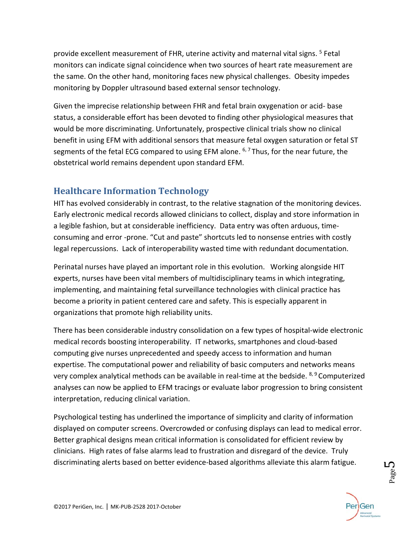provide excellent measurement of FHR, uterine activity and maternal vital signs. <sup>5</sup> Fetal monitors can indicate signal coincidence when two sources of heart rate measurement are the same. On the other hand, monitoring faces new physical challenges. Obesity impedes monitoring by Doppler ultrasound based external sensor technology.

Given the imprecise relationship between FHR and fetal brain oxygenation or acid‐ base status, a considerable effort has been devoted to finding other physiological measures that would be more discriminating. Unfortunately, prospective clinical trials show no clinical benefit in using EFM with additional sensors that measure fetal oxygen saturation or fetal ST segments of the fetal ECG compared to using EFM alone.  $6,7$  Thus, for the near future, the obstetrical world remains dependent upon standard EFM.

## **Healthcare Information Technology**

HIT has evolved considerably in contrast, to the relative stagnation of the monitoring devices. Early electronic medical records allowed clinicians to collect, display and store information in a legible fashion, but at considerable inefficiency. Data entry was often arduous, time‐ consuming and error ‐prone. "Cut and paste" shortcuts led to nonsense entries with costly legal repercussions. Lack of interoperability wasted time with redundant documentation.

Perinatal nurses have played an important role in this evolution. Working alongside HIT experts, nurses have been vital members of multidisciplinary teams in which integrating, implementing, and maintaining fetal surveillance technologies with clinical practice has become a priority in patient centered care and safety. This is especially apparent in organizations that promote high reliability units.

There has been considerable industry consolidation on a few types of hospital‐wide electronic medical records boosting interoperability. IT networks, smartphones and cloud‐based computing give nurses unprecedented and speedy access to information and human expertise. The computational power and reliability of basic computers and networks means very complex analytical methods can be available in real-time at the bedside. <sup>8, 9</sup> Computerized analyses can now be applied to EFM tracings or evaluate labor progression to bring consistent interpretation, reducing clinical variation.

Psychological testing has underlined the importance of simplicity and clarity of information displayed on computer screens. Overcrowded or confusing displays can lead to medical error. Better graphical designs mean critical information is consolidated for efficient review by clinicians. High rates of false alarms lead to frustration and disregard of the device. Truly discriminating alerts based on better evidence‐based algorithms alleviate this alarm fatigue.



**L**<br>Page <sup>1</sup>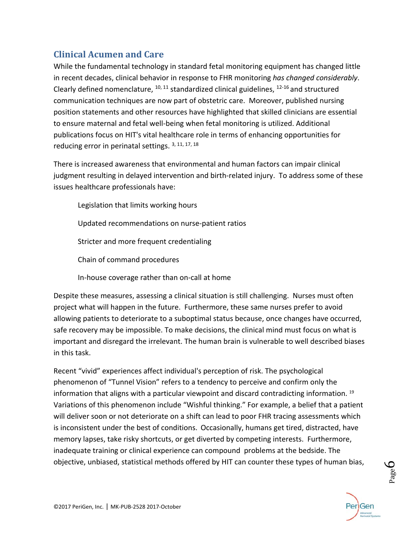# **Clinical Acumen and Care**

While the fundamental technology in standard fetal monitoring equipment has changed little in recent decades, clinical behavior in response to FHR monitoring *has changed considerably*. Clearly defined nomenclature,  $10, 11$  standardized clinical guidelines,  $12-16$  and structured communication techniques are now part of obstetric care. Moreover, published nursing position statements and other resources have highlighted that skilled clinicians are essential to ensure maternal and fetal well‐being when fetal monitoring is utilized. Additional publications focus on HIT's vital healthcare role in terms of enhancing opportunities for reducing error in perinatal settings. 3, 11, 17, 18

There is increased awareness that environmental and human factors can impair clinical judgment resulting in delayed intervention and birth-related injury. To address some of these issues healthcare professionals have:

 Legislation that limits working hours Updated recommendations on nurse‐patient ratios Stricter and more frequent credentialing Chain of command procedures In‐house coverage rather than on‐call at home

Despite these measures, assessing a clinical situation is still challenging. Nurses must often project what will happen in the future. Furthermore, these same nurses prefer to avoid allowing patients to deteriorate to a suboptimal status because, once changes have occurred, safe recovery may be impossible. To make decisions, the clinical mind must focus on what is important and disregard the irrelevant. The human brain is vulnerable to well described biases in this task.

Recent "vivid" experiences affect individual's perception of risk. The psychological phenomenon of "Tunnel Vision" refers to a tendency to perceive and confirm only the information that aligns with a particular viewpoint and discard contradicting information.  $19$ Variations of this phenomenon include "Wishful thinking." For example, a belief that a patient will deliver soon or not deteriorate on a shift can lead to poor FHR tracing assessments which is inconsistent under the best of conditions. Occasionally, humans get tired, distracted, have memory lapses, take risky shortcuts, or get diverted by competing interests. Furthermore, inadequate training or clinical experience can compound problems at the bedside. The objective, unbiased, statistical methods offered by HIT can counter these types of human bias,



**D**aged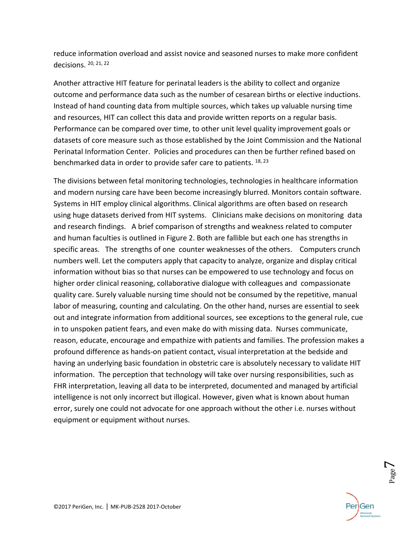reduce information overload and assist novice and seasoned nurses to make more confident decisions. 20, 21, 22

Another attractive HIT feature for perinatal leaders is the ability to collect and organize outcome and performance data such as the number of cesarean births or elective inductions. Instead of hand counting data from multiple sources, which takes up valuable nursing time and resources, HIT can collect this data and provide written reports on a regular basis. Performance can be compared over time, to other unit level quality improvement goals or datasets of core measure such as those established by the Joint Commission and the National Perinatal Information Center. Policies and procedures can then be further refined based on benchmarked data in order to provide safer care to patients. <sup>18, 23</sup>

The divisions between fetal monitoring technologies, technologies in healthcare information and modern nursing care have been become increasingly blurred. Monitors contain software. Systems in HIT employ clinical algorithms. Clinical algorithms are often based on research using huge datasets derived from HIT systems. Clinicians make decisions on monitoring data and research findings. A brief comparison of strengths and weakness related to computer and human faculties is outlined in Figure 2. Both are fallible but each one has strengths in specific areas. The strengths of one counter weaknesses of the others. Computers crunch numbers well. Let the computers apply that capacity to analyze, organize and display critical information without bias so that nurses can be empowered to use technology and focus on higher order clinical reasoning, collaborative dialogue with colleagues and compassionate quality care. Surely valuable nursing time should not be consumed by the repetitive, manual labor of measuring, counting and calculating. On the other hand, nurses are essential to seek out and integrate information from additional sources, see exceptions to the general rule, cue in to unspoken patient fears, and even make do with missing data. Nurses communicate, reason, educate, encourage and empathize with patients and families. The profession makes a profound difference as hands‐on patient contact, visual interpretation at the bedside and having an underlying basic foundation in obstetric care is absolutely necessary to validate HIT information. The perception that technology will take over nursing responsibilities, such as FHR interpretation, leaving all data to be interpreted, documented and managed by artificial intelligence is not only incorrect but illogical. However, given what is known about human error, surely one could not advocate for one approach without the other i.e. nurses without equipment or equipment without nurses.



Page<sup>7</sup>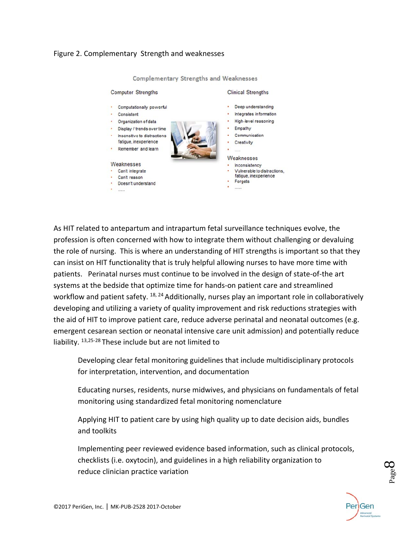#### Figure 2. Complementary Strength and weaknesses



Complementary Strengths and Weaknesses

As HIT related to antepartum and intrapartum fetal surveillance techniques evolve, the profession is often concerned with how to integrate them without challenging or devaluing the role of nursing. This is where an understanding of HIT strengths is important so that they can insist on HIT functionality that is truly helpful allowing nurses to have more time with patients. Perinatal nurses must continue to be involved in the design of state‐of‐the art systems at the bedside that optimize time for hands‐on patient care and streamlined workflow and patient safety. <sup>18, 24</sup> Additionally, nurses play an important role in collaboratively developing and utilizing a variety of quality improvement and risk reductions strategies with the aid of HIT to improve patient care, reduce adverse perinatal and neonatal outcomes (e.g. emergent cesarean section or neonatal intensive care unit admission) and potentially reduce liability. 13,25‐28 These include but are not limited to

 Developing clear fetal monitoring guidelines that include multidisciplinary protocols for interpretation, intervention, and documentation

 Educating nurses, residents, nurse midwives, and physicians on fundamentals of fetal monitoring using standardized fetal monitoring nomenclature

 Applying HIT to patient care by using high quality up to date decision aids, bundles and toolkits

 Implementing peer reviewed evidence based information, such as clinical protocols, checklists (i.e. oxytocin), and guidelines in a high reliability organization to reduce clinician practice variation



**Baged**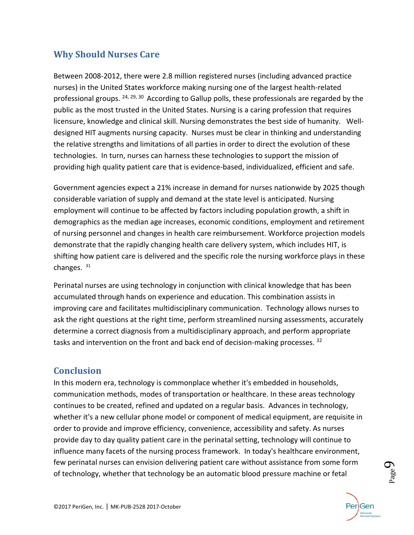# **Why Should Nurses Care**

Between 2008‐2012, there were 2.8 million registered nurses (including advanced practice nurses) in the United States workforce making nursing one of the largest health‐related professional groups.  $24, 29, 30$  According to Gallup polls, these professionals are regarded by the public as the most trusted in the United States. Nursing is a caring profession that requires licensure, knowledge and clinical skill. Nursing demonstrates the best side of humanity. Well‐ designed HIT augments nursing capacity. Nurses must be clear in thinking and understanding the relative strengths and limitations of all parties in order to direct the evolution of these technologies. In turn, nurses can harness these technologies to support the mission of providing high quality patient care that is evidence‐based, individualized, efficient and safe.

Government agencies expect a 21% increase in demand for nurses nationwide by 2025 though considerable variation of supply and demand at the state level is anticipated. Nursing employment will continue to be affected by factors including population growth, a shift in demographics as the median age increases, economic conditions, employment and retirement of nursing personnel and changes in health care reimbursement. Workforce projection models demonstrate that the rapidly changing health care delivery system, which includes HIT, is shifting how patient care is delivered and the specific role the nursing workforce plays in these changes. 31

Perinatal nurses are using technology in conjunction with clinical knowledge that has been accumulated through hands on experience and education. This combination assists in improving care and facilitates multidisciplinary communication. Technology allows nurses to ask the right questions at the right time, perform streamlined nursing assessments, accurately determine a correct diagnosis from a multidisciplinary approach, and perform appropriate tasks and intervention on the front and back end of decision-making processes.  $32$ 

## **Conclusion**

In this modern era, technology is commonplace whether it's embedded in households, communication methods, modes of transportation or healthcare. In these areas technology continues to be created, refined and updated on a regular basis. Advances in technology, whether it's a new cellular phone model or component of medical equipment, are requisite in order to provide and improve efficiency, convenience, accessibility and safety. As nurses provide day to day quality patient care in the perinatal setting, technology will continue to influence many facets of the nursing process framework. In today's healthcare environment, few perinatal nurses can envision delivering patient care without assistance from some form of technology, whether that technology be an automatic blood pressure machine or fetal



p<sub>age</sub>9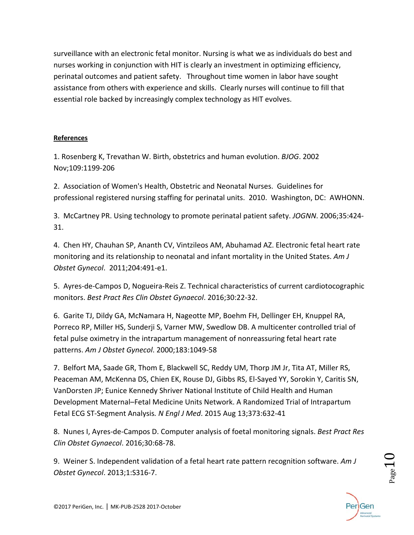surveillance with an electronic fetal monitor. Nursing is what we as individuals do best and nurses working in conjunction with HIT is clearly an investment in optimizing efficiency, perinatal outcomes and patient safety. Throughout time women in labor have sought assistance from others with experience and skills. Clearly nurses will continue to fill that essential role backed by increasingly complex technology as HIT evolves.

### **References**

1. Rosenberg K, Trevathan W. Birth, obstetrics and human evolution. *BJOG*. 2002 Nov;109:1199‐206

2. Association of Women's Health, Obstetric and Neonatal Nurses. Guidelines for professional registered nursing staffing for perinatal units. 2010. Washington, DC: AWHONN.

3. McCartney PR. Using technology to promote perinatal patient safety. *JOGNN*. 2006;35:424‐ 31.

4. Chen HY, Chauhan SP, Ananth CV, Vintzileos AM, Abuhamad AZ. Electronic fetal heart rate monitoring and its relationship to neonatal and infant mortality in the United States. *Am J Obstet Gynecol*. 2011;204:491‐e1.

5. Ayres-de-Campos D, Nogueira-Reis Z. Technical characteristics of current cardiotocographic monitors. *Best Pract Res Clin Obstet Gynaecol*. 2016;30:22‐32.

6. Garite TJ, Dildy GA, McNamara H, Nageotte MP, Boehm FH, Dellinger EH, Knuppel RA, Porreco RP, Miller HS, Sunderji S, Varner MW, Swedlow DB. A multicenter controlled trial of fetal pulse oximetry in the intrapartum management of nonreassuring fetal heart rate patterns. *Am J Obstet Gynecol*. 2000;183:1049‐58

7. Belfort MA, Saade GR, Thom E, Blackwell SC, Reddy UM, Thorp JM Jr, Tita AT, Miller RS, Peaceman AM, McKenna DS, Chien EK, Rouse DJ, Gibbs RS, El‐Sayed YY, Sorokin Y, Caritis SN, VanDorsten JP; Eunice Kennedy Shriver National Institute of Child Health and Human Development Maternal–Fetal Medicine Units Network. A Randomized Trial of Intrapartum Fetal ECG ST‐Segment Analysis*. N Engl J Med*. 2015 Aug 13;373:632‐41

8. Nunes I, Ayres‐de‐Campos D. Computer analysis of foetal monitoring signals. *Best Pract Res Clin Obstet Gynaecol*. 2016;30:68‐78.

9. Weiner S. Independent validation of a fetal heart rate pattern recognition software. *Am J Obstet Gynecol*. 2013;1:S316‐7.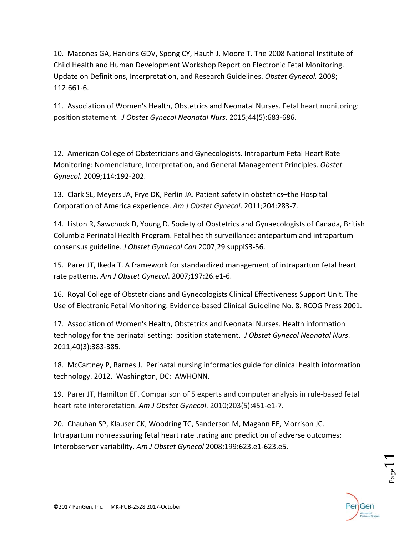10. Macones GA, Hankins GDV, Spong CY, Hauth J, Moore T. The 2008 National Institute of Child Health and Human Development Workshop Report on Electronic Fetal Monitoring. Update on Definitions, Interpretation, and Research Guidelines. *Obstet Gynecol.* 2008; 112:661‐6.

11. Association of Women's Health, Obstetrics and Neonatal Nurses. Fetal heart monitoring: position statement. *J Obstet Gynecol Neonatal Nurs*. 2015;44(5):683‐686.

12. American College of Obstetricians and Gynecologists. Intrapartum Fetal Heart Rate Monitoring: Nomenclature, Interpretation, and General Management Principles. *Obstet Gynecol*. 2009;114:192‐202.

13. Clark SL, Meyers JA, Frye DK, Perlin JA. Patient safety in obstetrics–the Hospital Corporation of America experience. *Am J Obstet Gynecol*. 2011;204:283‐7.

14. Liston R, Sawchuck D, Young D. Society of Obstetrics and Gynaecologists of Canada, British Columbia Perinatal Health Program. Fetal health surveillance: antepartum and intrapartum consensus guideline. *J Obstet Gynaecol Can* 2007;29 supplS3‐56.

15. Parer JT, Ikeda T. A framework for standardized management of intrapartum fetal heart rate patterns. *Am J Obstet Gynecol*. 2007;197:26.e1‐6.

16. Royal College of Obstetricians and Gynecologists Clinical Effectiveness Support Unit. The Use of Electronic Fetal Monitoring. Evidence‐based Clinical Guideline No. 8. RCOG Press 2001.

17. Association of Women's Health, Obstetrics and Neonatal Nurses. Health information technology for the perinatal setting: position statement. *J Obstet Gynecol Neonatal Nurs*. 2011;40(3):383‐385.

18. McCartney P, Barnes J. Perinatal nursing informatics guide for clinical health information technology. 2012. Washington, DC: AWHONN.

19. Parer JT, Hamilton EF. Comparison of 5 experts and computer analysis in rule-based fetal heart rate interpretation. *Am J Obstet Gynecol*. 2010;203(5):451‐e1‐7.

20. Chauhan SP, Klauser CK, Woodring TC, Sanderson M, Magann EF, Morrison JC. Intrapartum nonreassuring fetal heart rate tracing and prediction of adverse outcomes: Interobserver variability. *Am J Obstet Gynecol* 2008;199:623.e1‐623.e5.

 $_{\rm Page}11$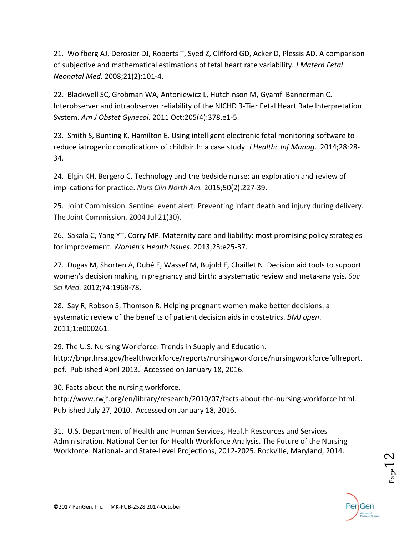21. Wolfberg AJ, Derosier DJ, Roberts T, Syed Z, Clifford GD, Acker D, Plessis AD. A comparison of subjective and mathematical estimations of fetal heart rate variability. *J Matern Fetal Neonatal Med*. 2008;21(2):101‐4.

22. Blackwell SC, Grobman WA, Antoniewicz L, Hutchinson M, Gyamfi Bannerman C. Interobserver and intraobserver reliability of the NICHD 3‐Tier Fetal Heart Rate Interpretation System. *Am J Obstet Gynecol*. 2011 Oct;205(4):378.e1‐5.

23. Smith S, Bunting K, Hamilton E. Using intelligent electronic fetal monitoring software to reduce iatrogenic complications of childbirth: a case study. *J Healthc Inf Manag*. 2014;28:28‐ 34.

24. Elgin KH, Bergero C. Technology and the bedside nurse: an exploration and review of implications for practice. *Nurs Clin North Am.* 2015;50(2):227‐39.

25. Joint Commission. Sentinel event alert: Preventing infant death and injury during delivery. The Joint Commission. 2004 Jul 21(30).

26. Sakala C, Yang YT, Corry MP. Maternity care and liability: most promising policy strategies for improvement. *Women's Health Issues*. 2013;23:e25‐37.

27. Dugas M, Shorten A, Dubé E, Wassef M, Bujold E, Chaillet N. Decision aid tools to support women's decision making in pregnancy and birth: a systematic review and meta‐analysis. *Soc Sci Med.* 2012;74:1968‐78.

28. Say R, Robson S, Thomson R. Helping pregnant women make better decisions: a systematic review of the benefits of patient decision aids in obstetrics. *BMJ open*. 2011;1:e000261.

29. The U.S. Nursing Workforce: Trends in Supply and Education.

http://bhpr.hrsa.gov/healthworkforce/reports/nursingworkforce/nursingworkforcefullreport. pdf. Published April 2013. Accessed on January 18, 2016.

30. Facts about the nursing workforce.

http://www.rwjf.org/en/library/research/2010/07/facts‐about‐the‐nursing‐workforce.html. Published July 27, 2010. Accessed on January 18, 2016.

31. U.S. Department of Health and Human Services, Health Resources and Services Administration, National Center for Health Workforce Analysis. The Future of the Nursing Workforce: National‐ and State‐Level Projections, 2012‐2025. Rockville, Maryland, 2014.